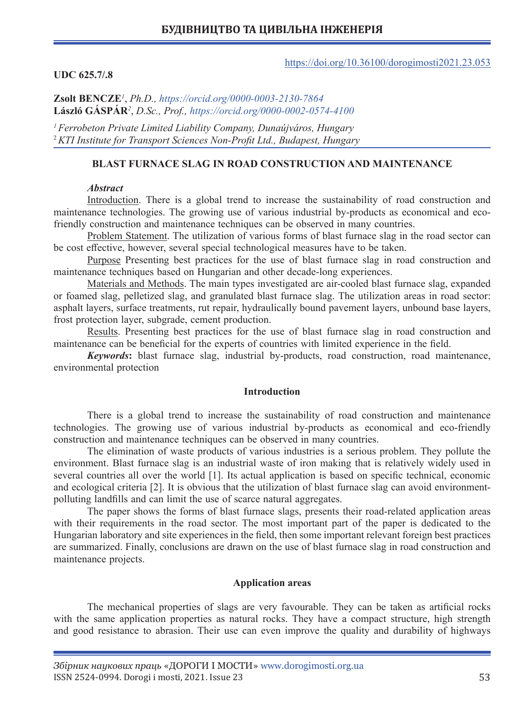### https://doi.org/10.36100/dorogimosti2021.23.053

### **UDC 625.7/.8**

**Zsolt BENCZE***<sup>1</sup>* , *Ph.D., https://orcid.org/0000-0003-2130-7864* **László GÁSPÁR***<sup>2</sup>* , *D.Sc., Prof., https://orcid.org/0000-0002-0574-4100*

*1Ferrobeton Private Limited Liability Company, Dunaújváros, Hungary* <sup>2</sup>*KTI Institute for Transport Sciences Non-Profit Ltd., Budapest, Hungary*

## **BLAST FURNACE SLAG IN ROAD CONSTRUCTION AND MAINTENANCE**

## *Abstract*

Introduction. There is a global trend to increase the sustainability of road construction and maintenance technologies. The growing use of various industrial by-products as economical and ecofriendly construction and maintenance techniques can be observed in many countries.

Problem Statement. The utilization of various forms of blast furnace slag in the road sector can be cost effective, however, several special technological measures have to be taken.

Purpose Presenting best practices for the use of blast furnace slag in road construction and maintenance techniques based on Hungarian and other decade-long experiences.

Materials and Methods. The main types investigated are air-cooled blast furnace slag, expanded or foamed slag, pelletized slag, and granulated blast furnace slag. The utilization areas in road sector: asphalt layers, surface treatments, rut repair, hydraulically bound pavement layers, unbound base layers, frost protection layer, subgrade, cement production.

Results. Presenting best practices for the use of blast furnace slag in road construction and maintenance can be beneficial for the experts of countries with limited experience in the field.

*Keywords***:** blast furnace slag, industrial by-products, road construction, road maintenance, environmental protection

### **Introduction**

There is a global trend to increase the sustainability of road construction and maintenance technologies. The growing use of various industrial by-products as economical and eco-friendly construction and maintenance techniques can be observed in many countries.

The elimination of waste products of various industries is a serious problem. They pollute the environment. Blast furnace slag is an industrial waste of iron making that is relatively widely used in several countries all over the world [1]. Its actual application is based on specific technical, economic and ecological criteria [2]. It is obvious that the utilization of blast furnace slag can avoid environmentpolluting landfills and can limit the use of scarce natural aggregates.

The paper shows the forms of blast furnace slags, presents their road-related application areas with their requirements in the road sector. The most important part of the paper is dedicated to the Hungarian laboratory and site experiences in the field, then some important relevant foreign best practices are summarized. Finally, conclusions are drawn on the use of blast furnace slag in road construction and maintenance projects.

#### **Application areas**

The mechanical properties of slags are very favourable. They can be taken as artificial rocks with the same application properties as natural rocks. They have a compact structure, high strength and good resistance to abrasion. Their use can even improve the quality and durability of highways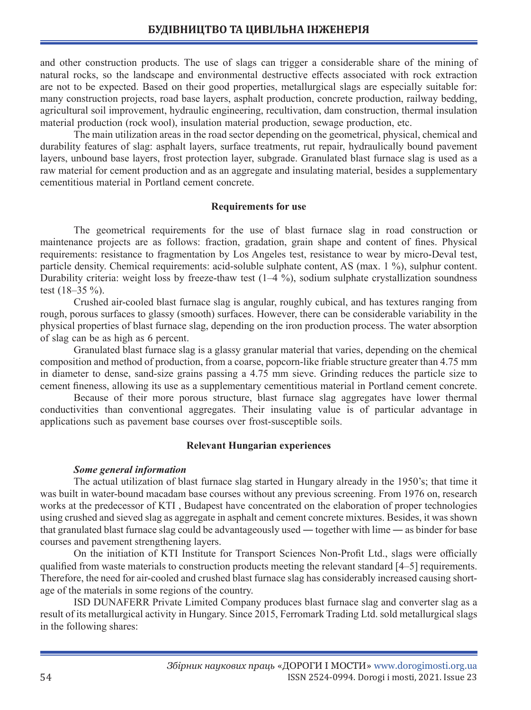and other construction products. The use of slags can trigger a considerable share of the mining of natural rocks, so the landscape and environmental destructive effects associated with rock extraction are not to be expected. Based on their good properties, metallurgical slags are especially suitable for: many construction projects, road base layers, asphalt production, concrete production, railway bedding, agricultural soil improvement, hydraulic engineering, recultivation, dam construction, thermal insulation material production (rock wool), insulation material production, sewage production, etc.

The main utilization areas in the road sector depending on the geometrical, physical, chemical and durability features of slag: asphalt layers, surface treatments, rut repair, hydraulically bound pavement layers, unbound base layers, frost protection layer, subgrade. Granulated blast furnace slag is used as a raw material for cement production and as an aggregate and insulating material, besides a supplementary cementitious material in Portland cement concrete.

## **Requirements for use**

The geometrical requirements for the use of blast furnace slag in road construction or maintenance projects are as follows: fraction, gradation, grain shape and content of fines. Physical requirements: resistance to fragmentation by Los Angeles test, resistance to wear by micro-Deval test, particle density. Chemical requirements: acid-soluble sulphate content, AS (max. 1 %), sulphur content. Durability criteria: weight loss by freeze-thaw test (1–4 %), sodium sulphate crystallization soundness test (18–35 %).

Crushed air-cooled blast furnace slag is angular, roughly cubical, and has textures ranging from rough, porous surfaces to glassy (smooth) surfaces. However, there can be considerable variability in the physical properties of blast furnace slag, depending on the iron production process. The water absorption of slag can be as high as 6 percent.

Granulated blast furnace slag is a glassy granular material that varies, depending on the chemical composition and method of production, from a coarse, popcorn-like friable structure greater than 4.75 mm in diameter to dense, sand-size grains passing a 4.75 mm sieve. Grinding reduces the particle size to cement fineness, allowing its use as a supplementary cementitious material in Portland cement concrete.

Because of their more porous structure, blast furnace slag aggregates have lower thermal conductivities than conventional aggregates. Their insulating value is of particular advantage in applications such as pavement base courses over frost-susceptible soils.

## **Relevant Hungarian experiences**

#### *Some general information*

The actual utilization of blast furnace slag started in Hungary already in the 1950's; that time it was built in water-bound macadam base courses without any previous screening. From 1976 on, research works at the predecessor of KTI , Budapest have concentrated on the elaboration of proper technologies using crushed and sieved slag as aggregate in asphalt and cement concrete mixtures. Besides, it was shown that granulated blast furnace slag could be advantageously used ― together with lime ― as binder for base courses and pavement strengthening layers.

On the initiation of KTI Institute for Transport Sciences Non-Profit Ltd., slags were officially qualified from waste materials to construction products meeting the relevant standard [4–5] requirements. Therefore, the need for air-cooled and crushed blast furnace slag has considerably increased causing shortage of the materials in some regions of the country.

ISD DUNAFERR Private Limited Company produces blast furnace slag and converter slag as a result of its metallurgical activity in Hungary. Since 2015, Ferromark Trading Ltd. sold metallurgical slags in the following shares: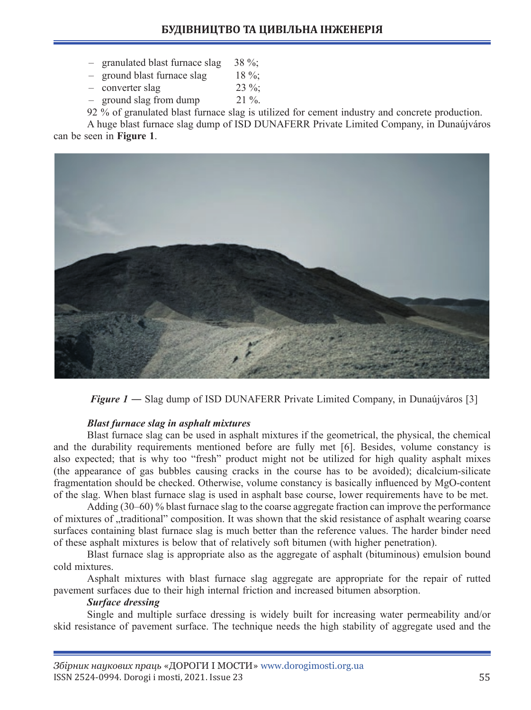- $-$  granulated blast furnace slag 38 %;
- $-$  ground blast furnace slag 18 %;
- $\sim$  converter slag 23 %;
- $-$  ground slag from dump  $21\%$ .

92 % of granulated blast furnace slag is utilized for cement industry and concrete production.

A huge blast furnace slag dump of ISD DUNAFERR Private Limited Company, in Dunaújváros can be seen in **Figure 1**.



*Figure 1* — Slag dump of ISD DUNAFERR Private Limited Company, in Dunaújváros [3]

# *Blast furnace slag in asphalt mixtures*

Blast furnace slag can be used in asphalt mixtures if the geometrical, the physical, the chemical and the durability requirements mentioned before are fully met [6]. Besides, volume constancy is also expected; that is why too "fresh" product might not be utilized for high quality asphalt mixes (the appearance of gas bubbles causing cracks in the course has to be avoided); dicalcium-silicate fragmentation should be checked. Otherwise, volume constancy is basically influenced by MgO-content of the slag. When blast furnace slag is used in asphalt base course, lower requirements have to be met.

Adding (30–60) % blast furnace slag to the coarse aggregate fraction can improve the performance of mixtures of "traditional" composition. It was shown that the skid resistance of asphalt wearing coarse surfaces containing blast furnace slag is much better than the reference values. The harder binder need of these asphalt mixtures is below that of relatively soft bitumen (with higher penetration).

Blast furnace slag is appropriate also as the aggregate of asphalt (bituminous) emulsion bound cold mixtures.

Asphalt mixtures with blast furnace slag aggregate are appropriate for the repair of rutted pavement surfaces due to their high internal friction and increased bitumen absorption.

## *Surface dressing*

Single and multiple surface dressing is widely built for increasing water permeability and/or skid resistance of pavement surface. The technique needs the high stability of aggregate used and the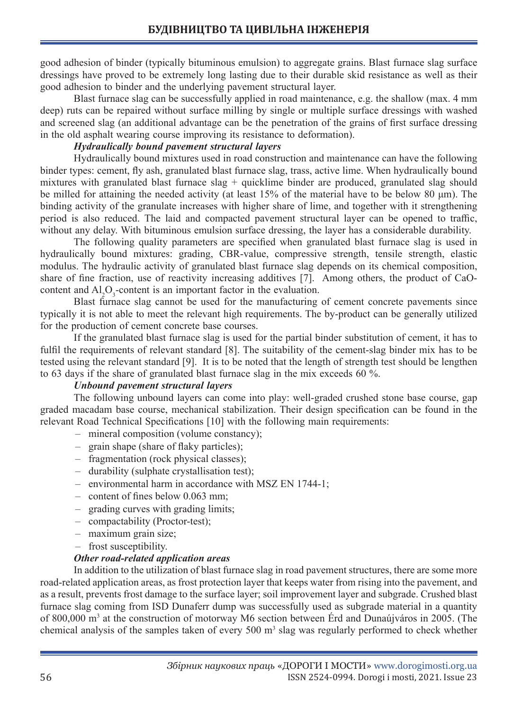good adhesion of binder (typically bituminous emulsion) to aggregate grains. Blast furnace slag surface dressings have proved to be extremely long lasting due to their durable skid resistance as well as their good adhesion to binder and the underlying pavement structural layer.

Blast furnace slag can be successfully applied in road maintenance, e.g. the shallow (max. 4 mm deep) ruts can be repaired without surface milling by single or multiple surface dressings with washed and screened slag (an additional advantage can be the penetration of the grains of first surface dressing in the old asphalt wearing course improving its resistance to deformation).

## *Hydraulically bound pavement structural layers*

Hydraulically bound mixtures used in road construction and maintenance can have the following binder types: cement, fly ash, granulated blast furnace slag, trass, active lime. When hydraulically bound mixtures with granulated blast furnace slag + quicklime binder are produced, granulated slag should be milled for attaining the needed activity (at least 15% of the material have to be below 80 μm). The binding activity of the granulate increases with higher share of lime, and together with it strengthening period is also reduced. The laid and compacted pavement structural layer can be opened to traffic, without any delay. With bituminous emulsion surface dressing, the layer has a considerable durability.

The following quality parameters are specified when granulated blast furnace slag is used in hydraulically bound mixtures: grading, CBR-value, compressive strength, tensile strength, elastic modulus. The hydraulic activity of granulated blast furnace slag depends on its chemical composition, share of fine fraction, use of reactivity increasing additives [7]. Among others, the product of CaOcontent and  $\text{Al}_2\text{O}_3$ -content is an important factor in the evaluation.

Blast furnace slag cannot be used for the manufacturing of cement concrete pavements since typically it is not able to meet the relevant high requirements. The by-product can be generally utilized for the production of cement concrete base courses.

If the granulated blast furnace slag is used for the partial binder substitution of cement, it has to fulfil the requirements of relevant standard [8]. The suitability of the cement-slag binder mix has to be tested using the relevant standard [9]. It is to be noted that the length of strength test should be lengthen to 63 days if the share of granulated blast furnace slag in the mix exceeds 60 %.

# *Unbound pavement structural layers*

The following unbound layers can come into play: well-graded crushed stone base course, gap graded macadam base course, mechanical stabilization. Their design specification can be found in the relevant Road Technical Specifications [10] with the following main requirements:

- mineral composition (volume constancy);
- grain shape (share of flaky particles);
- fragmentation (rock physical classes);
- durability (sulphate crystallisation test);
- environmental harm in accordance with MSZ EN 1744-1;
- content of fines below 0.063 mm;
- grading curves with grading limits;
- compactability (Proctor-test);
- maximum grain size;
- frost susceptibility.

# *Other road-related application areas*

In addition to the utilization of blast furnace slag in road pavement structures, there are some more road-related application areas, as frost protection layer that keeps water from rising into the pavement, and as a result, prevents frost damage to the surface layer; soil improvement layer and subgrade. Crushed blast furnace slag coming from ISD Dunaferr dump was successfully used as subgrade material in a quantity of 800,000 m<sup>3</sup> at the construction of motorway M6 section between Erd and Dunaújváros in 2005. (The chemical analysis of the samples taken of every 500 m<sup>3</sup> slag was regularly performed to check whether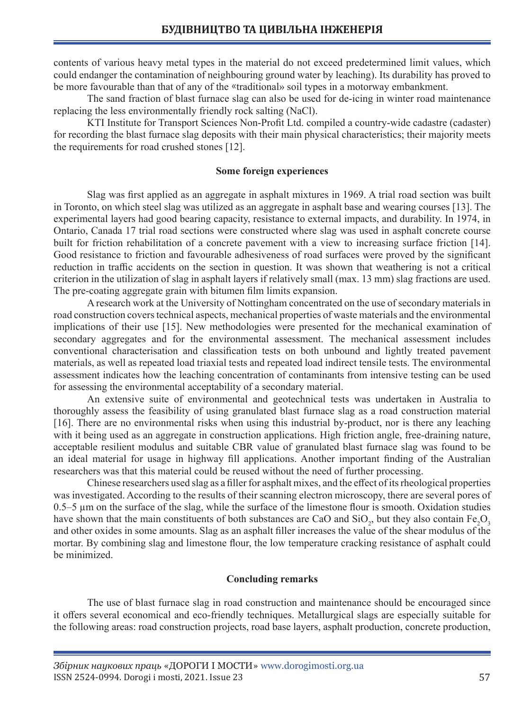contents of various heavy metal types in the material do not exceed predetermined limit values, which could endanger the contamination of neighbouring ground water by leaching). Its durability has proved to be more favourable than that of any of the «traditional» soil types in a motorway embankment.

The sand fraction of blast furnace slag can also be used for de-icing in winter road maintenance replacing the less environmentally friendly rock salting (NaCl).

KTI Institute for Transport Sciences Non-Profit Ltd. compiled a country-wide cadastre (cadaster) for recording the blast furnace slag deposits with their main physical characteristics; their majority meets the requirements for road crushed stones [12].

### **Some foreign experiences**

Slag was first applied as an aggregate in asphalt mixtures in 1969. A trial road section was built in Toronto, on which steel slag was utilized as an aggregate in asphalt base and wearing courses [13]. The experimental layers had good bearing capacity, resistance to external impacts, and durability. In 1974, in Ontario, Canada 17 trial road sections were constructed where slag was used in asphalt concrete course built for friction rehabilitation of a concrete pavement with a view to increasing surface friction [14]. Good resistance to friction and favourable adhesiveness of road surfaces were proved by the significant reduction in traffic accidents on the section in question. It was shown that weathering is not a critical criterion in the utilization of slag in asphalt layers if relatively small (max. 13 mm) slag fractions are used. The pre-coating aggregate grain with bitumen film limits expansion.

A research work at the University of Nottingham concentrated on the use of secondary materials in road construction covers technical aspects, mechanical properties of waste materials and the environmental implications of their use [15]. New methodologies were presented for the mechanical examination of secondary aggregates and for the environmental assessment. The mechanical assessment includes conventional characterisation and classification tests on both unbound and lightly treated pavement materials, as well as repeated load triaxial tests and repeated load indirect tensile tests. The environmental assessment indicates how the leaching concentration of contaminants from intensive testing can be used for assessing the environmental acceptability of a secondary material.

An extensive suite of environmental and geotechnical tests was undertaken in Australia to thoroughly assess the feasibility of using granulated blast furnace slag as a road construction material [16]. There are no environmental risks when using this industrial by-product, nor is there any leaching with it being used as an aggregate in construction applications. High friction angle, free-draining nature, acceptable resilient modulus and suitable CBR value of granulated blast furnace slag was found to be an ideal material for usage in highway fill applications. Another important finding of the Australian researchers was that this material could be reused without the need of further processing.

Chinese researchers used slag as a filler for asphalt mixes, and the effect of its rheological properties was investigated. According to the results of their scanning electron microscopy, there are several pores of 0.5–5 µm on the surface of the slag, while the surface of the limestone flour is smooth. Oxidation studies have shown that the main constituents of both substances are CaO and SiO<sub>2</sub>, but they also contain  $Fe<sub>2</sub>O<sub>3</sub>$ and other oxides in some amounts. Slag as an asphalt filler increases the value of the shear modulus of the mortar. By combining slag and limestone flour, the low temperature cracking resistance of asphalt could be minimized.

#### **Concluding remarks**

The use of blast furnace slag in road construction and maintenance should be encouraged since it offers several economical and eco-friendly techniques. Metallurgical slags are especially suitable for the following areas: road construction projects, road base layers, asphalt production, concrete production,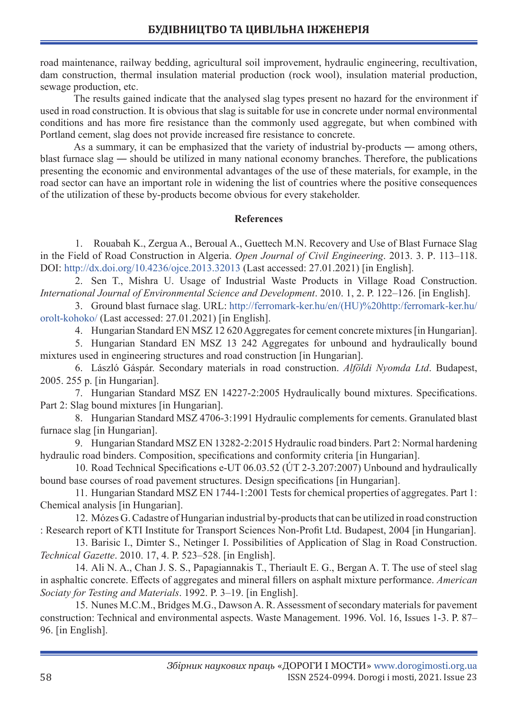road maintenance, railway bedding, agricultural soil improvement, hydraulic engineering, recultivation, dam construction, thermal insulation material production (rock wool), insulation material production, sewage production, etc.

The results gained indicate that the analysed slag types present no hazard for the environment if used in road construction. It is obvious that slag is suitable for use in concrete under normal environmental conditions and has more fire resistance than the commonly used aggregate, but when combined with Portland cement, slag does not provide increased fire resistance to concrete.

As a summary, it can be emphasized that the variety of industrial by-products — among others, blast furnace slag ― should be utilized in many national economy branches. Therefore, the publications presenting the economic and environmental advantages of the use of these materials, for example, in the road sector can have an important role in widening the list of countries where the positive consequences of the utilization of these by-products become obvious for every stakeholder.

## **References**

1. Rouabah K., Zergua A., Beroual A., Guettech M.N. Recovery and Use of Blast Furnace Slag in the Field of Road Construction in Algeria. *Open Journal of Civil Engineering*. 2013. 3. Р. 113–118. DOI: http://dx.doi.org/10.4236/ojce.2013.32013 (Last accessed: 27.01.2021) [in English].

2. Sen T., Mishra U. Usage of Industrial Waste Products in Village Road Construction. *International Journal of Environmental Science and Development*. 2010. 1, 2. P. 122–126. [in English].

3. Ground blast furnace slag. URL: http://ferromark-ker.hu/en/(HU)%20http:/ferromark-ker.hu/ orolt-kohoko/ (Last accessed: 27.01.2021) [in English].

4. Hungarian Standard EN MSZ 12 620 Aggregates for cement concrete mixtures [in Hungarian].

5. Hungarian Standard EN MSZ 13 242 Aggregates for unbound and hydraulically bound mixtures used in engineering structures and road construction [in Hungarian].

6. László Gáspár. Secondary materials in road construction. *Alföldi Nyomda Ltd*. Budapest, 2005. 255 p. [in Hungarian].

7. Hungarian Standard MSZ EN 14227-2:2005 Hydraulically bound mixtures. Specifications. Part 2: Slag bound mixtures [in Hungarian].

8. Hungarian Standard MSZ 4706-3:1991 Hydraulic complements for cements. Granulated blast furnace slag [in Hungarian].

9. Hungarian Standard MSZ EN 13282-2:2015 Hydraulic road binders. Part 2: Normal hardening hydraulic road binders. Composition, specifications and conformity criteria [in Hungarian].

10. Road Technical Specifications e-UT 06.03.52 (ÚT 2-3.207:2007) Unbound and hydraulically bound base courses of road pavement structures. Design specifications [in Hungarian].

11. Hungarian Standard MSZ EN 1744-1:2001 Tests for chemical properties of aggregates. Part 1: Chemical analysis [in Hungarian].

12. Mózes G. Cadastre of Hungarian industrial by-products that can be utilized in road construction : Research report of KTI Institute for Transport Sciences Non-Profit Ltd. Budapest, 2004 [in Hungarian].

13. Barisic I., Dimter S., Netinger I. Possibilities of Application of Slag in Road Construction. *Technical Gazette*. 2010. 17, 4. P. 523–528. [in English].

14. Ali N. A., Chan J. S. S., Papagiannakis T., Theriault E. G., Bergan A. T. The use of steel slag in asphaltic concrete. Effects of aggregates and mineral fillers on asphalt mixture performance. *American Sociaty for Testing and Materials*. 1992. P. 3–19. [in English].

15. Nunes M.C.M., Bridges M.G., Dawson A. R. Assessment of secondary materials for pavement construction: Technical and environmental aspects. Waste Management. 1996. Vol. 16, Issues 1-3. P. 87– 96. [in English].